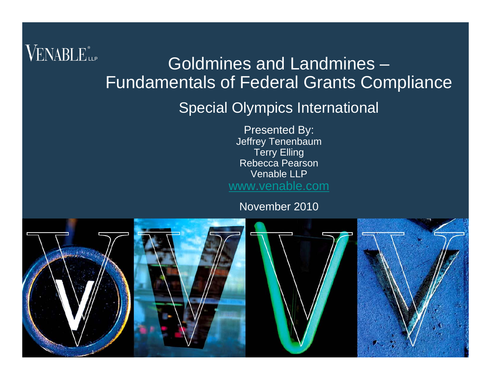#### **VENABLE** LLP Goldmines and Landmines – Fundamentals of Federal Grants Compliance

#### Special Olympics International

Presented By: Jeffrey Tenenbaum **Terry Elling** Rebecca Pearson Venable LLPwww.venable.com

November 2010

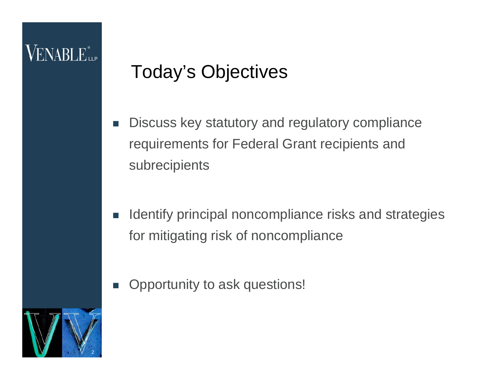#### Today's Objectives

- F. Discuss key statutory and regulatory compliance requirements for Federal Grant recipients and subrecipients
- $\mathbb{R}^n$  Identify principal noncompliance risks and strategies for mitigating risk of noncompliance
- F Opportunity to ask questions!

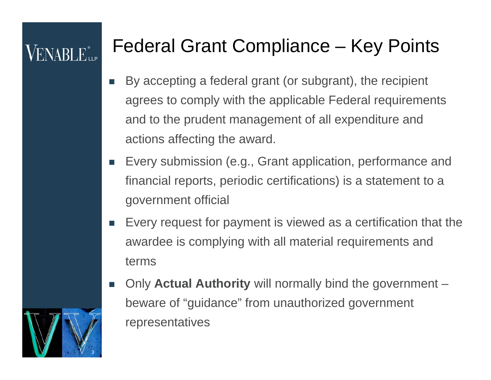## VENARI F

#### Federal Grant Compliance – Key Points

- П By accepting a federal grant (or subgrant), the recipient agrees to comply with the applicable Federal requirements and to the prudent management of all expenditure and actions affecting the award.
- П Every submission (e.g., Grant application, performance and financial reports, periodic certifications) is a statement to a government official
- П Every request for payment is viewed as a certification that the awardee is complying with all material requirements and terms
- m. Only **Actual Authority** will normally bind the government – beware of "guidance" from unauthorized government representatives

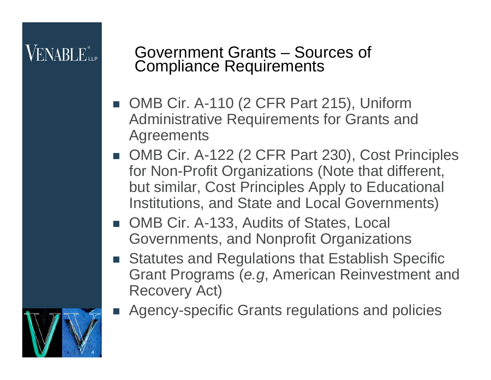## $\mathsf{V}\mathrm{ENARI}\,\mathrm{E}$ ile

#### Government Grants – Sources of Compliance Requirements

- OMB Cir. A-110 (2 CFR Part 215), Uniform Administrative Requirements for Grants and Agreements
- OMB Cir. A-122 (2 CFR Part 230), Cost Principles for Non-Profit Organizations (Note that different, but similar, Cost Principles Apply to Educational Institutions, and State and Local Governments)
- OMB Cir. A-133, Audits of States, Local Governments, and Nonprofit Organizations
- Statutes and Regulations that Establish Specific Grant Programs (*e.g*, American Reinvestment and Recovery Act)
- П Agency-specific Grants regulations and policies

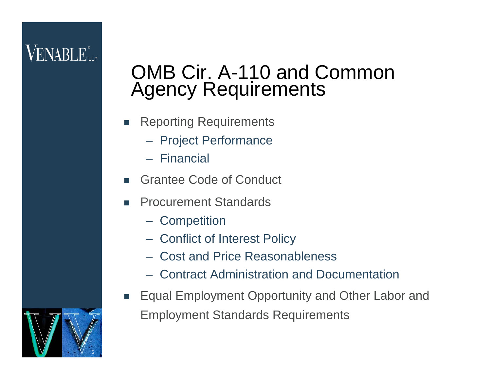#### OMB Cir. A-110 and Common Agency Requirements

- П Reporting Requirements
	- Project Performance
	- Financial
- П Grantee Code of Conduct
- П Procurement Standards
	- **Competition**
	- Conflict of Interest Policy
	- Cost and Price Reasonableness
	- Contract Administration and Documentation
- Equal Employment Opportunity and Other Labor and Employment Standards Requirements

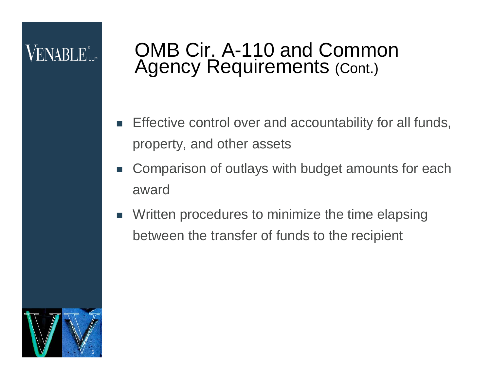#### OMB Cir. A-110 and Common Agency Requirements (Cont.)

- $\overline{\phantom{a}}$  Effective control over and accountability for all funds, property, and other assets
- F Comparison of outlays with budget amounts for each award
- $\mathbb{R}^n$  Written procedures to minimize the time elapsing between the transfer of funds to the recipient

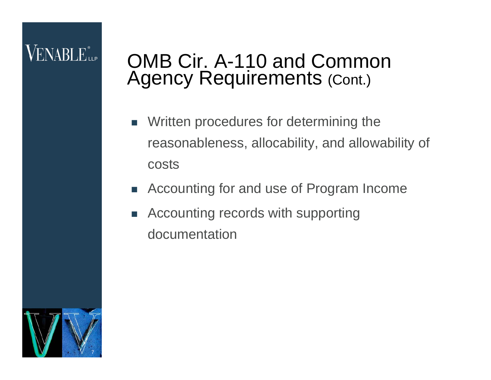#### OMB Cir. A-110 and Common Agency Requirements (Cont.)

- $\Box$  Written procedures for determining the reasonableness, allocability, and allowability of costs
- Accounting for and use of Program Income
- П Accounting records with supporting documentation

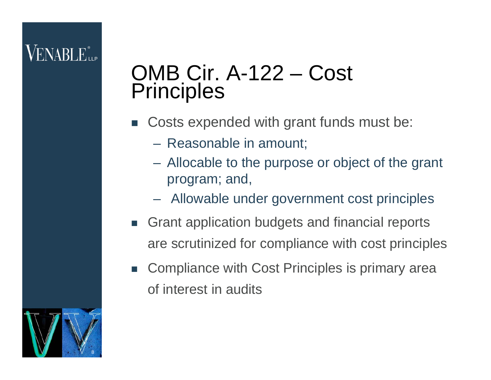## VENABLE"

#### OMB Cir. A-122 – Cost **Principles**

- $\overline{\phantom{a}}$  Costs expended with grant funds must be:
	- Reasonable in amount;
	- – Allocable to the purpose or object of the grant program; and,
	- Allowable under government cost principles
- $\mathcal{L}_{\mathcal{A}}$  Grant application budgets and financial reports are scrutinized for compliance with cost principles
- $\mathcal{L}^{\mathcal{A}}$  Compliance with Cost Principles is primary area of interest in audits

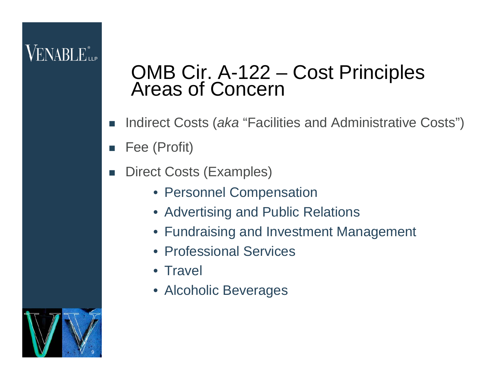# OMB Cir. A-122 – Cost Principles Areas of Concern

- П Indirect Costs (*aka* "Facilities and Administrative Costs")
- F Fee (Profit)
- L. Direct Costs (Examples)
	- Personnel Compensation
	- Advertising and Public Relations
	- Fundraising and Investment Management
	- Professional Services
	- Travel
	- Alcoholic Beverages

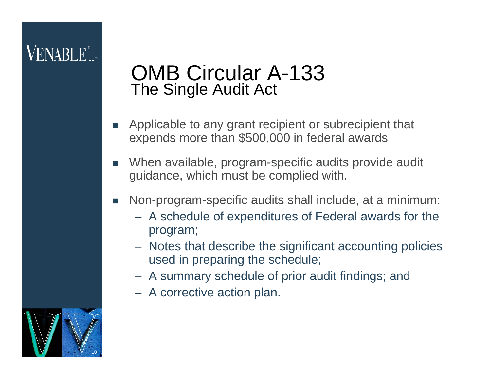## VENARI F

#### OMB Circular A-133 The Single Audit Act

- П Applicable to any grant recipient or subrecipient that expends more than \$500,000 in federal awards
- П When available, program-specific audits provide audit guidance, which must be complied with.
- m. Non-program-specific audits shall include, at a minimum:
	- A schedule of expenditures of Federal awards for the program;
	- Notes that describe the significant accounting policies used in preparing the schedule;
	- A summary schedule of prior audit findings; and
	- A corrective action plan.

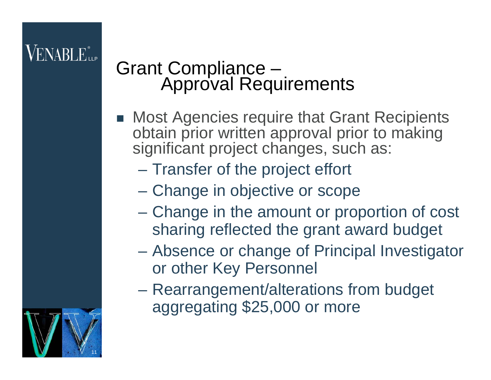#### **VENABLE** LLP

# Grant Compliance –<br>Approval Requirements

- F. Most Agencies require that Grant Recipients obtain prior written approval prior to making significant project changes, such as:
	- Transfer of the project effort
	- Change in objective or scope
	- Change in the amount or proportion of cost sharing reflected the grant award budget
	- Absence or change of Principal Investigator or other Key Personnel
	- Rearrangement/alterations from budget aggregating \$25,000 or more

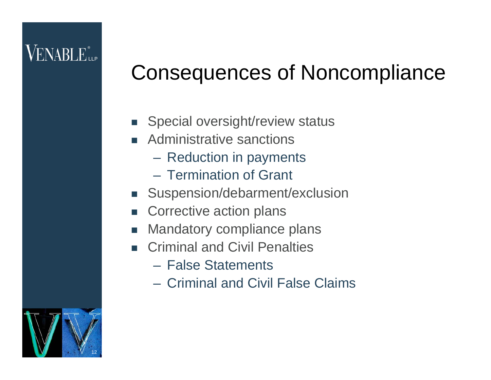### $\mathsf{V}\mathrm{ENARI}\,\mathrm{F}^\circ_{\text{\tiny{Hie}}}$

# Consequences of Noncompliance

- F Special oversight/review status
- **Administrative sanctions** 
	- Reduction in payments
	- Termination of Grant
- Suspension/debarment/exclusion
- $\overline{\phantom{a}}$ Corrective action plans
- $\mathcal{L}_{\mathcal{A}}$ Mandatory compliance plans
- $\sim$  Criminal and Civil Penalties
	- False Statements
	- Criminal and Civil False Claims

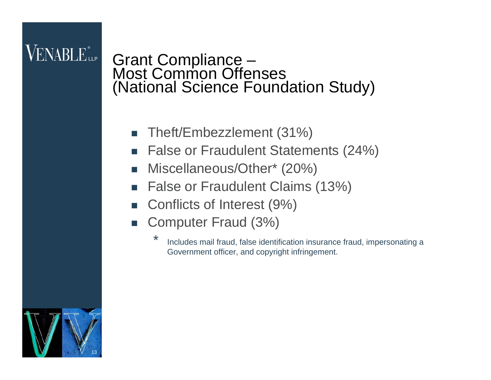#### $\rm VENABLE$  ilp

Grant Compliance – Most Common Offenses (National Science Foundation Study)

- F Theft/Embezzlement (31%)
- L. False or Fraudulent Statements (24%)
- П Miscellaneous/Other\* (20%)
- F False or Fraudulent Claims (13%)
- L. Conflicts of Interest (9%)
- $\overline{\mathbb{R}^n}$  Computer Fraud (3%)
	- \*Includes mail fraud, false identification insurance fraud, impersonating a Government officer, and copyright infringement.

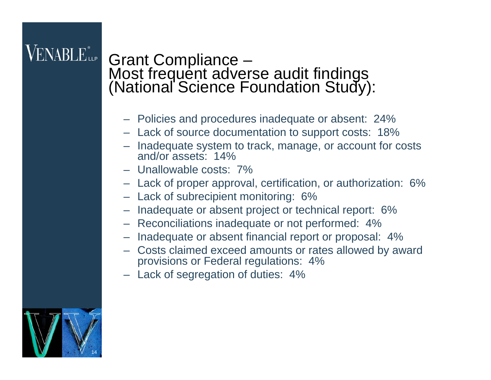#### $\sf{VENABLE}^*$

# Grant Compliance –<br>Most frequent adverse audit findings<br>(National Science Foundation Study):

- Policies and procedures inadequate or absent: 24%
- Lack of source documentation to support costs: 18%
- Inadequate system to track, manage, or account for costs and/or assets: 14%
- Unallowable costs: 7%
- Lack of proper approval, certification, or authorization: 6%
- Lack of subrecipient monitoring: 6%
- Inadequate or absent project or technical report: 6%
- Reconciliations inadequate or not performed: 4%
- Inadequate or absent financial report or proposal: 4%
- Costs claimed exceed amounts or rates allowed by award provisions or Federal regulations: 4%
- Lack of segregation of duties: 4%

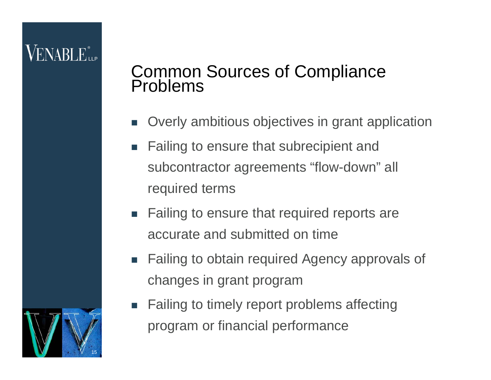15

# Common Sources of Compliance Problems

- L. Overly ambitious objectives in grant application
- $\mathbb{R}^3$  Failing to ensure that subrecipient and subcontractor agreements "flow-down" all required terms
- Failing to ensure that required reports are accurate and submitted on time
- $\mathcal{L}^{\mathcal{A}}$  Failing to obtain required Agency approvals of changes in grant program
- Failing to timely report problems affecting program or financial performance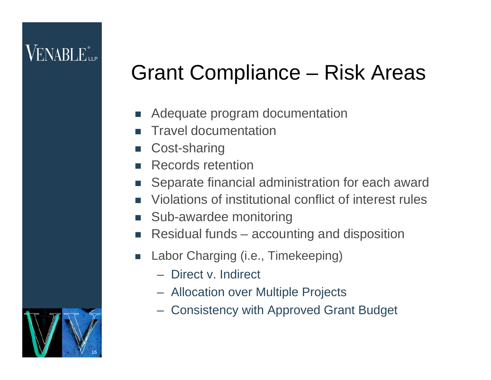# Grant Compliance – Risk Areas

- $\sim$ Adequate program documentation
- П Travel documentation
- П Cost-sharing
- П Records retention
- $\sim$ Separate financial administration for each award
- П Violations of institutional conflict of interest rules
- $\mathcal{L}^{\mathcal{L}}$ Sub-awardee monitoring
- П Residual funds – accounting and disposition
- $\sim 100$  Labor Charging (i.e., Timekeeping)
	- Direct v. Indirect
	- Allocation over Multiple Projects
	- Consistency with Approved Grant Budget

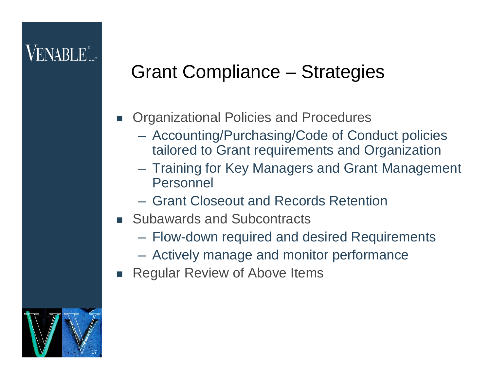#### Grant Compliance – Strategies

- F Organizational Policies and Procedures
	- Accounting/Purchasing/Code of Conduct policies tailored to Grant requirements and Organization
	- Training for Key Managers and Grant Management Personnel
	- Grant Closeout and Records Retention
- F Subawards and Subcontracts
	- Flow-down required and desired Requirements
	- Actively manage and monitor performance
- F Regular Review of Above Items

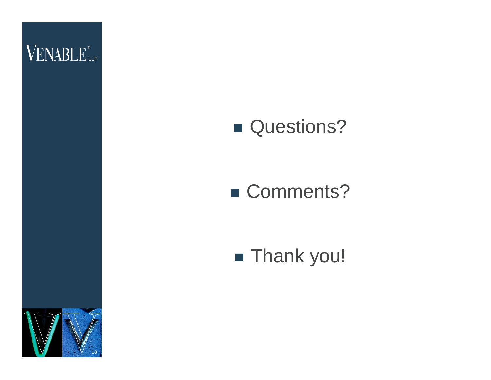

#### **Questions?**

#### ■ Comments?

#### $\blacksquare$  Thank you!